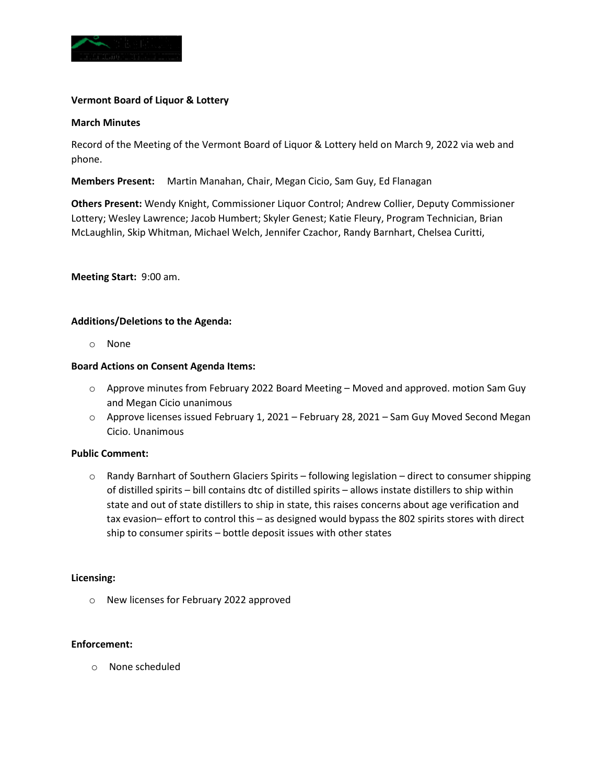

## **Vermont Board of Liquor & Lottery**

#### **March Minutes**

Record of the Meeting of the Vermont Board of Liquor & Lottery held on March 9, 2022 via web and phone.

**Members Present:** Martin Manahan, Chair, Megan Cicio, Sam Guy, Ed Flanagan

**Others Present:** Wendy Knight, Commissioner Liquor Control; Andrew Collier, Deputy Commissioner Lottery; Wesley Lawrence; Jacob Humbert; Skyler Genest; Katie Fleury, Program Technician, Brian McLaughlin, Skip Whitman, Michael Welch, Jennifer Czachor, Randy Barnhart, Chelsea Curitti,

**Meeting Start:** 9:00 am.

## **Additions/Deletions to the Agenda:**

o None

## **Board Actions on Consent Agenda Items:**

- o Approve minutes from February 2022 Board Meeting Moved and approved. motion Sam Guy and Megan Cicio unanimous
- o Approve licenses issued February 1, 2021 February 28, 2021 Sam Guy Moved Second Megan Cicio. Unanimous

#### **Public Comment:**

o Randy Barnhart of Southern Glaciers Spirits – following legislation – direct to consumer shipping of distilled spirits – bill contains dtc of distilled spirits – allows instate distillers to ship within state and out of state distillers to ship in state, this raises concerns about age verification and tax evasion– effort to control this – as designed would bypass the 802 spirits stores with direct ship to consumer spirits – bottle deposit issues with other states

#### **Licensing:**

o New licenses for February 2022 approved

#### **Enforcement:**

o None scheduled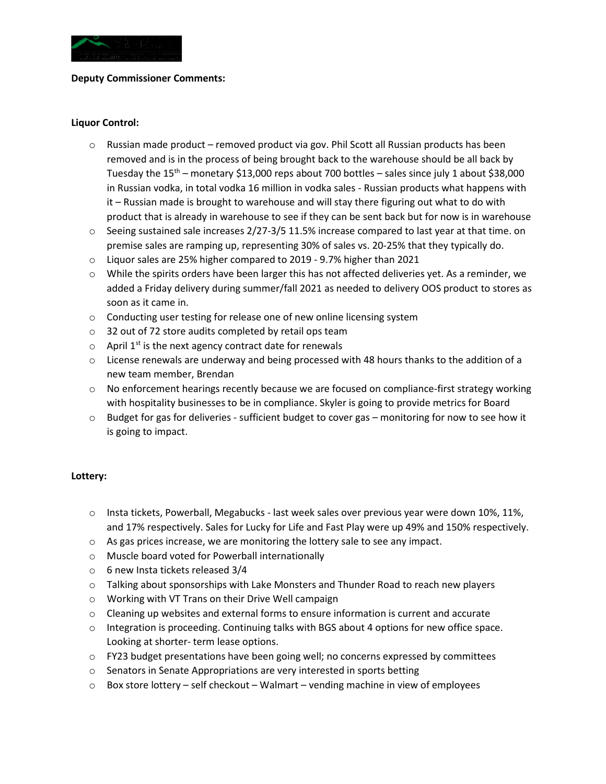

#### **Deputy Commissioner Comments:**

#### **Liquor Control:**

- $\circ$  Russian made product removed product via gov. Phil Scott all Russian products has been removed and is in the process of being brought back to the warehouse should be all back by Tuesday the  $15<sup>th</sup>$  – monetary \$13,000 reps about 700 bottles – sales since july 1 about \$38,000 in Russian vodka, in total vodka 16 million in vodka sales - Russian products what happens with it – Russian made is brought to warehouse and will stay there figuring out what to do with product that is already in warehouse to see if they can be sent back but for now is in warehouse
- $\circ$  Seeing sustained sale increases 2/27-3/5 11.5% increase compared to last year at that time. on premise sales are ramping up, representing 30% of sales vs. 20-25% that they typically do.
- o Liquor sales are 25% higher compared to 2019 9.7% higher than 2021
- $\circ$  While the spirits orders have been larger this has not affected deliveries yet. As a reminder, we added a Friday delivery during summer/fall 2021 as needed to delivery OOS product to stores as soon as it came in.
- o Conducting user testing for release one of new online licensing system
- o 32 out of 72 store audits completed by retail ops team
- $\circ$  April 1<sup>st</sup> is the next agency contract date for renewals
- $\circ$  License renewals are underway and being processed with 48 hours thanks to the addition of a new team member, Brendan
- $\circ$  No enforcement hearings recently because we are focused on compliance-first strategy working with hospitality businesses to be in compliance. Skyler is going to provide metrics for Board
- $\circ$  Budget for gas for deliveries sufficient budget to cover gas monitoring for now to see how it is going to impact.

## **Lottery:**

- $\circ$  Insta tickets, Powerball, Megabucks last week sales over previous year were down 10%, 11%, and 17% respectively. Sales for Lucky for Life and Fast Play were up 49% and 150% respectively.
- o As gas prices increase, we are monitoring the lottery sale to see any impact.
- o Muscle board voted for Powerball internationally
- o 6 new Insta tickets released 3/4
- $\circ$  Talking about sponsorships with Lake Monsters and Thunder Road to reach new players
- o Working with VT Trans on their Drive Well campaign
- $\circ$  Cleaning up websites and external forms to ensure information is current and accurate
- $\circ$  Integration is proceeding. Continuing talks with BGS about 4 options for new office space. Looking at shorter- term lease options.
- o FY23 budget presentations have been going well; no concerns expressed by committees
- o Senators in Senate Appropriations are very interested in sports betting
- $\circ$  Box store lottery self checkout Walmart vending machine in view of employees